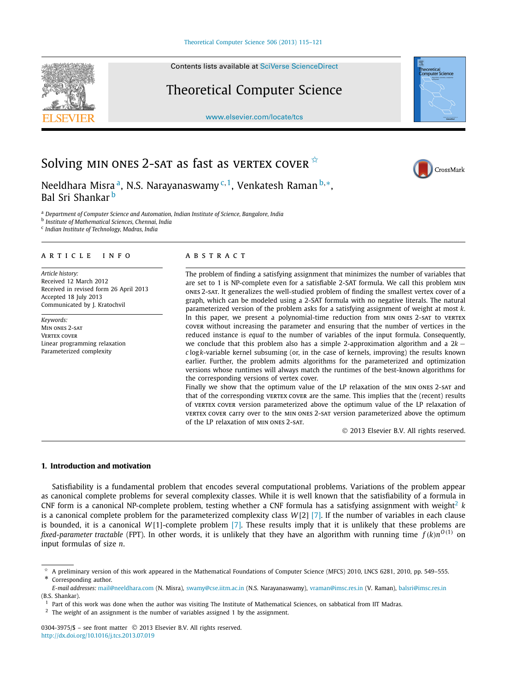Contents lists available at [SciVerse ScienceDirect](http://www.ScienceDirect.com/)

## Theoretical Computer Science

[www.elsevier.com/locate/tcs](http://www.elsevier.com/locate/tcs)



# Solving MIN ONES 2-SAT as fast as VERTEX COVER  $*$



Neeldhara Misra<sup>a</sup>, N.S. Narayanaswamy <sup>c, 1</sup>, Venkatesh Raman <sup>b,∗</sup>, Bal Sri Shankar b

<sup>a</sup> *Department of Computer Science and Automation, Indian Institute of Science, Bangalore, India*

<sup>b</sup> *Institute of Mathematical Sciences, Chennai, India*

<sup>c</sup> *Indian Institute of Technology, Madras, India*

#### article info abstract

*Article history:* Received 12 March 2012 Received in revised form 26 April 2013 Accepted 18 July 2013 Communicated by J. Kratochvil

*Keywords:* Min ones 2-sat **VERTEX COVER** Linear programming relaxation Parameterized complexity

The problem of finding a satisfying assignment that minimizes the number of variables that are set to 1 is NP-complete even for a satisfiable 2-SAT formula. We call this problem min ones 2-sat. It generalizes the well-studied problem of finding the smallest vertex cover of a graph, which can be modeled using a 2-SAT formula with no negative literals. The natural parameterized version of the problem asks for a satisfying assignment of weight at most *k*. In this paper, we present a polynomial-time reduction from min ones 2-sat to vertex cover without increasing the parameter and ensuring that the number of vertices in the reduced instance is *equal* to the number of variables of the input formula. Consequently, we conclude that this problem also has a simple 2-approximation algorithm and a 2*k* − *c* log*k*-variable kernel subsuming (or, in the case of kernels, improving) the results known earlier. Further, the problem admits algorithms for the parameterized and optimization versions whose runtimes will always match the runtimes of the best-known algorithms for the corresponding versions of vertex cover.

Finally we show that the optimum value of the LP relaxation of the MIN ONES 2-SAT and that of the corresponding vertex cover are the same. This implies that the (recent) results of vertex cover version parameterized above the optimum value of the LP relaxation of vertex cover carry over to the min ones 2-sat version parameterized above the optimum of the LP relaxation of min ones 2-sat.

© 2013 Elsevier B.V. All rights reserved.

#### **1. Introduction and motivation**

Satisfiability is a fundamental problem that encodes several computational problems. Variations of the problem appear as canonical complete problems for several complexity classes. While it is well known that the satisfiability of a formula in CNF form is a canonical NP-complete problem, testing whether a CNF formula has a satisfying assignment with weight<sup>2</sup>  $k$ is a canonical complete problem for the parameterized complexity class *W* [2] [\[7\].](#page-6-0) If the number of variables in each clause is bounded, it is a canonical *W* [1]-complete problem [\[7\].](#page-6-0) These results imply that it is unlikely that these problems are *fixed-parameter tractable* (FPT). In other words, it is unlikely that they have an algorithm with running time *f (k)nO(*1*)* on input formulas of size *n*.

<sup>✩</sup> A preliminary version of this work appeared in the Mathematical Foundations of Computer Science (MFCS) 2010, LNCS 6281, 2010, pp. 549–555.

Corresponding author.

*E-mail addresses:* [mail@neeldhara.com](mailto:mail@neeldhara.com) (N. Misra), [swamy@cse.iitm.ac.in](mailto:swamy@cse.iitm.ac.in) (N.S. Narayanaswamy), [vraman@imsc.res.in](mailto:vraman@imsc.res.in) (V. Raman), [balsri@imsc.res.in](mailto:balsri@imsc.res.in) (B.S. Shankar).

 $<sup>1</sup>$  Part of this work was done when the author was visiting The Institute of Mathematical Sciences, on sabbatical from IIT Madras.</sup>

<sup>2</sup> The *weight* of an assignment is the number of variables assigned 1 by the assignment.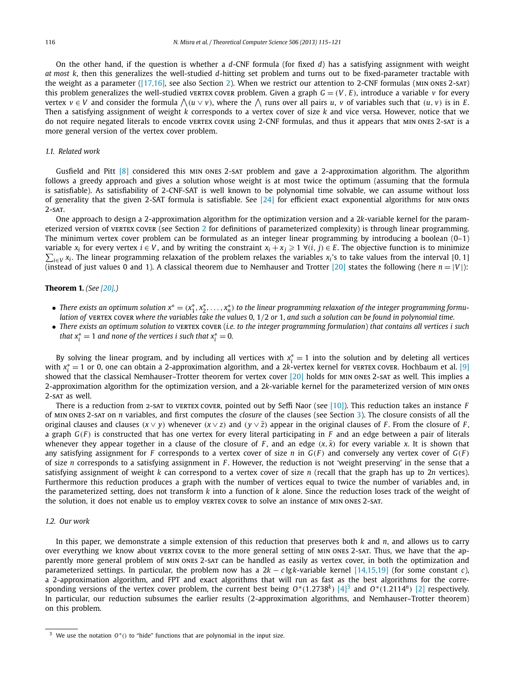<span id="page-1-0"></span>On the other hand, if the question is whether a *d*-CNF formula (for fixed *d*) has a satisfying assignment with weight *at most k*, then this generalizes the well-studied *d*-hitting set problem and turns out to be fixed-parameter tractable with the weight as a parameter [\(\[17,16\],](#page-6-0) see also Section [2\)](#page-2-0). When we restrict our attention to 2-CNF formulas (min ones 2-sat) this problem generalizes the well-studied vertex cover problem. Given a graph  $G = (V, E)$ , introduce a variable  $v$  for every  $\forall$  vertex  $v \in V$  and consider the formula  $\bigwedge (u \vee v)$ , where the  $\bigwedge$  runs over all pairs  $u, v$  of variables such that  $(u, v)$  is in E. Then a satisfying assignment of weight *k* corresponds to a vertex cover of size *k* and vice versa. However, notice that we do not require negated literals to encode vertex cover using 2-CNF formulas, and thus it appears that min ones 2-sat is a more general version of the vertex cover problem.

#### *1.1. Related work*

Gusfield and Pitt [\[8\]](#page-6-0) considered this min ones 2-sat problem and gave a 2-approximation algorithm. The algorithm follows a greedy approach and gives a solution whose weight is at most twice the optimum (assuming that the formula is satisfiable). As satisfiability of 2-CNF-SAT is well known to be polynomial time solvable, we can assume without loss of generality that the given 2-SAT formula is satisfiable. See  $[24]$  for efficient exact exponential algorithms for min ones  $2 - SAT$ .

One approach to design a 2-approximation algorithm for the optimization version and a 2*k*-variable kernel for the param-eterized version of vertex cover (see Section [2](#page-2-0) for definitions of parameterized complexity) is through linear programming. The minimum vertex cover problem can be formulated as an integer linear programming by introducing a boolean (0–1) variable  $x_i$  for every vertex  $i \in V$ , and by writing the constraint  $x_i + x_j \geq 1$   $\forall (i, j) \in E$ . The objective function is to minimize  $\sum_{i\in V} x_i$ . The linear programming relaxation of the problem relaxes the variables  $x_i$ 's to take values from the interval [0, 1] (instead of just values 0 and 1). A classical theorem due to Nemhauser and Trotter [\[20\]](#page-6-0) states the following (here  $n = |V|$ ):

#### **Theorem 1.** *(See [\[20\].](#page-6-0))*

- *There exists an optimum solution*  $x^* = (x_1^*, x_2^*, \ldots, x_n^*)$  to the linear programming relaxation of the integer programming formu*lation of* vertex cover *where the variables take the values* 0*,* 1*/*2 *or* 1*, and such a solution can be found in polynomial time.*
- *There exists an optimum solution to* vertex cover (*i.e. to the integer programming formulation*) *that contains all vertices i such that*  $x_i^* = 1$  *and none of the vertices i such that*  $x_i^* = 0$ *.*

By solving the linear program, and by including all vertices with  $x_i^* = 1$  into the solution and by deleting all vertices with *x*<sup>\*</sup><sub>*i*</sub> = 1 or 0, one can obtain a 2-approximation algorithm, and a 2*k*-vertex kernel for vertex cover. Hochbaum et al. [\[9\]](#page-6-0) showed that the classical Nemhauser–Trotter theorem for vertex cover [\[20\]](#page-6-0) holds for min ones 2-sat as well. This implies a 2-approximation algorithm for the optimization version, and a 2*k*-variable kernel for the parameterized version of min ones 2-sat as well.

There is a reduction from 2-sat to vertex cover, pointed out by Seffi Naor (see [\[10\]\)](#page-6-0). This reduction takes an instance *F* of min ones 2-sat on *n* variables, and first computes the *closure* of the clauses (see Section [3\)](#page-2-0). The closure consists of all the original clauses and clauses  $(x \vee y)$  whenever  $(x \vee z)$  and  $(y \vee \overline{z})$  appear in the original clauses of F. From the closure of F, a graph *G(F )* is constructed that has one vertex for every literal participating in *F* and an edge between a pair of literals whenever they appear together in a clause of the closure of *F*, and an edge  $(x, \bar{x})$  for every variable *x*. It is shown that any satisfying assignment for *F* corresponds to a vertex cover of size *n* in  $G(F)$  and conversely any vertex cover of  $G(F)$ of size *n* corresponds to a satisfying assignment in *F* . However, the reduction is not 'weight preserving' in the sense that a satisfying assignment of weight *k* can correspond to a vertex cover of size *n* (recall that the graph has up to 2*n* vertices). Furthermore this reduction produces a graph with the number of vertices equal to twice the number of variables and, in the parameterized setting, does not transform *k* into a function of *k* alone. Since the reduction loses track of the weight of the solution, it does not enable us to employ vertex cover to solve an instance of MIN ONES 2-SAT.

#### *1.2. Our work*

In this paper, we demonstrate a simple extension of this reduction that preserves both *k* and *n*, and allows us to carry over everything we know about vertex cover to the more general setting of MIN ONES 2-SAT. Thus, we have that the apparently more general problem of min ones 2-sat can be handled as easily as vertex cover, in both the optimization and parameterized settings. In particular, the problem now has a 2*k* − *c* lg*k*-variable kernel [\[14,15,19\]](#page-6-0) (for some constant *c*), a 2-approximation algorithm, and FPT and exact algorithms that will run as fast as the best algorithms for the corresponding versions of the vertex cover problem, the current best being  $O<sup>*</sup>(1.2738<sup>k</sup>)$  [\[4\]](#page-6-0)<sup>3</sup> and  $O<sup>*</sup>(1.2114<sup>n</sup>)$  [\[2\]](#page-6-0) respectively. In particular, our reduction subsumes the earlier results (2-approximation algorithms, and Nemhauser–Trotter theorem) on this problem.

<sup>3</sup> We use the notation *O*∗*()* to "hide" functions that are polynomial in the input size.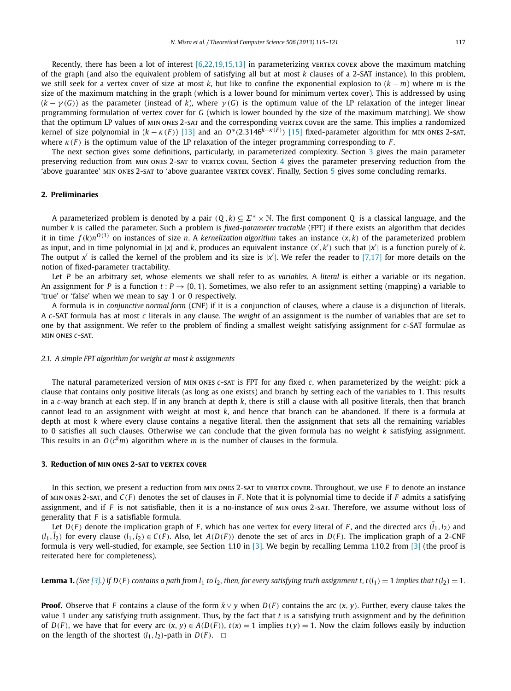<span id="page-2-0"></span>Recently, there has been a lot of interest  $[6,22,19,15,13]$  in parameterizing vertex cover above the maximum matching of the graph (and also the equivalent problem of satisfying all but at most *k* clauses of a 2-SAT instance). In this problem, we still seek for a vertex cover of size at most *k*, but like to confine the exponential explosion to (*k* − *m*) where *m* is the size of the maximum matching in the graph (which is a lower bound for minimum vertex cover). This is addressed by using  $(k - \gamma(G))$  as the parameter (instead of *k*), where  $\gamma(G)$  is the optimum value of the LP relaxation of the integer linear programming formulation of vertex cover for *G* (which is lower bounded by the size of the maximum matching). We show that the optimum LP values of min ones 2-sat and the corresponding vertex cover are the same. This implies a randomized kernel of size polynomial in (*k* − *κ(F )*) [\[13\]](#page-6-0) and an *O*∗*(*2*.*3146*k*−*κ(<sup>F</sup> ) )* [\[15\]](#page-6-0) fixed-parameter algorithm for min ones 2-sat, where  $\kappa(F)$  is the optimum value of the LP relaxation of the integer programming corresponding to *F*.

The next section gives some definitions, particularly, in parameterized complexity. Section 3 gives the main parameter preserving reduction from min ones 2-sat to vertex cover. Section [4](#page-4-0) gives the parameter preserving reduction from the 'above guarantee' MIN ONES 2-SAT to 'above guarantee VERTEX COVER'. Finally, Section [5](#page-5-0) gives some concluding remarks.

#### **2. Preliminaries**

A parameterized problem is denoted by a pair  $(Q, k) \subseteq \Sigma^* \times \mathbb{N}$ . The first component Q is a classical language, and the number *k* is called the parameter. Such a problem is *fixed-parameter tractable* (FPT) if there exists an algorithm that decides it in time  $f(k)n^{O(1)}$  on instances of size n. A kernelization algorithm takes an instance  $(x, k)$  of the parameterized problem as input, and in time polynomial in |*x*| and *k*, produces an equivalent instance *(x ,k )* such that |*x* | is a function purely of *k*. The output  $x'$  is called the kernel of the problem and its size is  $|x'|$ . We refer the reader to [\[7,17\]](#page-6-0) for more details on the notion of fixed-parameter tractability.

Let *P* be an arbitrary set, whose elements we shall refer to as *variables*. A *literal* is either a variable or its negation. An assignment for *P* is a function  $t: P \rightarrow \{0, 1\}$ . Sometimes, we also refer to an assignment setting (mapping) a variable to 'true' or 'false' when we mean to say 1 or 0 respectively.

A formula is in *conjunctive normal form* (CNF) if it is a conjunction of clauses, where a clause is a disjunction of literals. A *c*-SAT formula has at most *c* literals in any clause. The *weight* of an assignment is the number of variables that are set to one by that assignment. We refer to the problem of finding a smallest weight satisfying assignment for *c*-SAT formulae as min ones *c*-sat.

#### *2.1. A simple FPT algorithm for weight at most k assignments*

The natural parameterized version of min ones *c*-sat is FPT for any fixed *c*, when parameterized by the weight: pick a clause that contains only positive literals (as long as one exists) and branch by setting each of the variables to 1. This results in a *c*-way branch at each step. If in any branch at depth *k*, there is still a clause with all positive literals, then that branch cannot lead to an assignment with weight at most *k*, and hence that branch can be abandoned. If there is a formula at depth at most *k* where every clause contains a negative literal, then the assignment that sets all the remaining variables to 0 satisfies all such clauses. Otherwise we can conclude that the given formula has no weight *k* satisfying assignment. This results in an  $O(c^k m)$  algorithm where *m* is the number of clauses in the formula.

#### **3. Reduction of MIN ONES 2-SAT to VERTEX COVER**

In this section, we present a reduction from MIN ONES 2-SAT to VERTEX COVER. Throughout, we use *F* to denote an instance of min ones 2-sat, and *C(F )* denotes the set of clauses in *F* . Note that it is polynomial time to decide if *F* admits a satisfying assignment, and if *F* is not satisfiable, then it is a no-instance of min ones 2-sat. Therefore, we assume without loss of generality that *F* is a satisfiable formula.

Let  $D(F)$  denote the implication graph of F, which has one vertex for every literal of F, and the directed arcs  $(\bar{l}_1,l_2)$  and  $(l_1, l_2)$  for every clause  $(l_1, l_2) \in C(F)$ . Also, let  $A(D(F))$  denote the set of arcs in  $D(F)$ . The implication graph of a 2-CNF formula is very well-studied, for example, see Section 1.10 in [\[3\].](#page-6-0) We begin by recalling Lemma 1.10.2 from [\[3\]](#page-6-0) (the proof is reiterated here for completeness).

**Lemma 1.** (See [\[3\].](#page-6-0)) If  $D(F)$  contains a path from  $l_1$  to  $l_2$ , then, for every satisfying truth assignment t, t( $l_1$ ) = 1 implies that t( $l_2$ ) = 1.

**Proof.** Observe that *F* contains a clause of the form  $\bar{x} \vee y$  when *D*(*F*) contains the arc  $(x, y)$ . Further, every clause takes the value 1 under any satisfying truth assignment. Thus, by the fact that *t* is a satisfying truth assignment and by the definition of  $D(F)$ , we have that for every arc  $(x, y) \in A(D(F))$ ,  $t(x) = 1$  implies  $t(y) = 1$ . Now the claim follows easily by induction on the length of the shortest  $(l_1, l_2)$ -path in  $D(F)$ .  $\Box$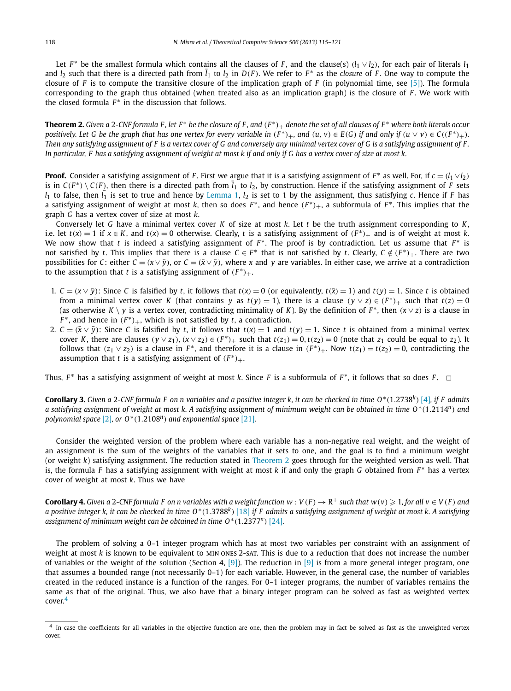<span id="page-3-0"></span>Let *F*<sup>\*</sup> be the smallest formula which contains all the clauses of *F*, and the clause(s)  $(l_1 \vee l_2)$ , for each pair of literals  $l_1$ and  $l_2$  such that there is a directed path from  $\bar{l}_1$  to  $l_2$  in  $D(F)$ . We refer to  $F^*$  as the *closure* of F. One way to compute the closure of *F* is to compute the transitive closure of the implication graph of *F* (in polynomial time, see [\[5\]\)](#page-6-0). The formula corresponding to the graph thus obtained (when treated also as an implication graph) is the closure of *F* . We work with the closed formula  $F^*$  in the discussion that follows.

**Theorem 2.** *Given a* 2*-CNF formula F , let F* <sup>∗</sup> *be the closure of F , and (F* <sup>∗</sup>*)*<sup>+</sup> *denote the set of all clauses of F* <sup>∗</sup> *where both literals occur* positively. Let G be the graph that has one vertex for every variable in  $(F^*)_+$ , and  $(u, v) \in E(G)$  if and only if  $(u \vee v) \in C((F^*)_+)$ . *Then any satisfying assignment of F is a vertex cover of G and conversely any minimal vertex cover of G is a satisfying assignment of F . In particular, F has a satisfying assignment of weight at most k if and only if G has a vertex cover of size at most k.*

**Proof.** Consider a satisfying assignment of *F*. First we argue that it is a satisfying assignment of  $F^*$  as well. For, if  $c = (l_1 \vee l_2)$ is in  $C(F^*) \setminus C(F)$ , then there is a directed path from  $\bar{l}_1$  to  $l_2$ , by construction. Hence if the satisfying assignment of *F* sets  $l_1$  to false, then  $l_1$  is set to true and hence by [Lemma 1,](#page-2-0)  $l_2$  is set to 1 by the assignment, thus satisfying *c*. Hence if *F* has a satisfying assignment of weight at most *k*, then so does *F* <sup>∗</sup>, and hence *(F* <sup>∗</sup>*)*+, a subformula of *F* <sup>∗</sup>. This implies that the graph *G* has a vertex cover of size at most *k*.

Conversely let *G* have a minimal vertex cover *K* of size at most *k*. Let *t* be the truth assignment corresponding to *K*, i.e. let  $t(x) = 1$  if  $x \in K$ , and  $t(x) = 0$  otherwise. Clearly, t is a satisfying assignment of  $(F^*)_+$  and is of weight at most k. We now show that *t* is indeed a satisfying assignment of *F* <sup>∗</sup>. The proof is by contradiction. Let us assume that *F* <sup>∗</sup> is not satisfied by *t*. This implies that there is a clause  $C \in F^*$  that is not satisfied by *t*. Clearly,  $C \notin (F^*)_+$ . There are two possibilities for *C*: either  $C = (x \vee \bar{y})$ , or  $C = (\bar{x} \vee \bar{y})$ , where *x* and *y* are variables. In either case, we arrive at a contradiction to the assumption that *t* is a satisfying assignment of  $(F^*)_+$ .

- 1.  $C = (x \vee \bar{y})$ : Since C is falsified by t, it follows that  $t(x) = 0$  (or equivalently,  $t(\bar{x}) = 1$ ) and  $t(y) = 1$ . Since t is obtained from a minimal vertex cover K (that contains y as  $t(y) = 1$ ), there is a clause  $(y \vee z) \in (F^*)_+$  such that  $t(z) = 0$ (as otherwise *K* \ *y* is a vertex cover, contradicting minimality of *K*). By the definition of  $F^*$ , then  $(x \vee z)$  is a clause in  $F^*$ , and hence in  $(F^*)_+$ , which is not satisfied by *t*, a contradiction.
- 2.  $C = (\bar{x} \vee \bar{y})$ : Since C is falsified by t, it follows that  $t(x) = 1$  and  $t(y) = 1$ . Since t is obtained from a minimal vertex cover K, there are clauses  $(y \vee z_1)$ ,  $(x \vee z_2) \in (F^*)_+$  such that  $t(z_1) = 0$ ,  $t(z_2) = 0$  (note that  $z_1$  could be equal to  $z_2$ ). It follows that  $(z_1 \vee z_2)$  is a clause in  $F^*$ , and therefore it is a clause in  $(F^*)_+$ . Now  $t(z_1) = t(z_2) = 0$ , contradicting the assumption that *t* is a satisfying assignment of  $(F^*)_+$ .

Thus, *<sup>F</sup>* <sup>∗</sup> has a satisfying assignment of weight at most *<sup>k</sup>*. Since *<sup>F</sup>* is a subformula of *<sup>F</sup>* <sup>∗</sup>, it follows that so does *<sup>F</sup>* . ✷

**Corollary 3.** *Given a* 2*-CNF formula F on n variables and a positive integer k, it can be checked in time O*∗*(*1*.*2738*<sup>k</sup>)* [\[4\]](#page-6-0)*, if F admits a satisfying assignment of weight at most k. A satisfying assignment of minimum weight can be obtained in time O*∗*(*1*.*2114*<sup>n</sup>) and polynomial space* [\[2\]](#page-6-0)*, or O*∗*(*1*.*2108*<sup>n</sup>) and exponential space* [\[21\]](#page-6-0)*.*

Consider the weighted version of the problem where each variable has a non-negative real weight, and the weight of an assignment is the sum of the weights of the variables that it sets to one, and the goal is to find a minimum weight (or weight *k*) satisfying assignment. The reduction stated in Theorem 2 goes through for the weighted version as well. That is, the formula *F* has a satisfying assignment with weight at most *k* if and only the graph *G* obtained from *F* <sup>∗</sup> has a vertex cover of weight at most *k*. Thus we have

**Corollary 4.** Given a 2-CNF formula F on n variables with a weight function  $w:V(F)\to R^+$  such that  $w(v)\geqslant 1$ , for all  $v\in V(F)$  and *a positive integer k, it can be checked in time O*∗*(*1*.*3788*<sup>k</sup>)* [\[18\]](#page-6-0) *if F admits a satisfying assignment of weight at most k. A satisfying assignment of minimum weight can be obtained in time O*∗*(*1*.*2377*<sup>n</sup>)* [\[24\]](#page-6-0)*.*

The problem of solving a 0–1 integer program which has at most two variables per constraint with an assignment of weight at most *k* is known to be equivalent to min ones 2-sat. This is due to a reduction that does not increase the number of variables or the weight of the solution (Section 4, [\[9\]\)](#page-6-0). The reduction in [\[9\]](#page-6-0) is from a more general integer program, one that assumes a bounded range (not necessarily 0–1) for each variable. However, in the general case, the number of variables created in the reduced instance is a function of the ranges. For 0–1 integer programs, the number of variables remains the same as that of the original. Thus, we also have that a binary integer program can be solved as fast as weighted vertex cover.<sup>4</sup>

<sup>&</sup>lt;sup>4</sup> In case the coefficients for all variables in the objective function are one, then the problem may in fact be solved as fast as the unweighted vertex cover.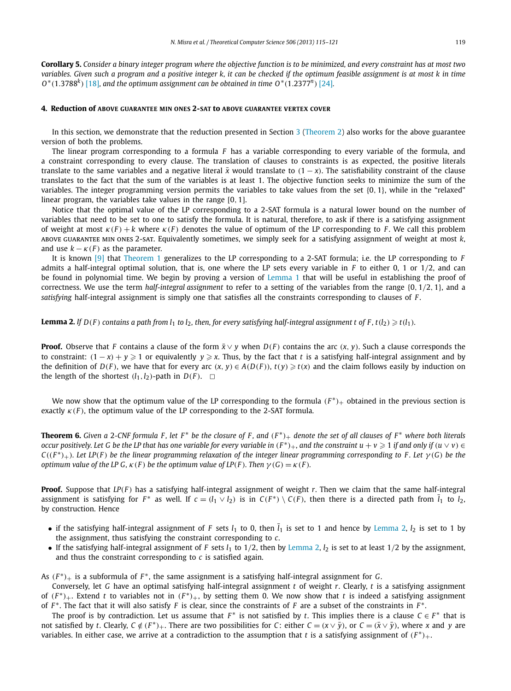<span id="page-4-0"></span>**Corollary 5.** *Consider a binary integer program where the objective function is to be minimized, and every constraint has at most two variables. Given such a program and a positive integer k, it can be checked if the optimum feasible assignment is at most k in time O*∗*(*1*.*3788*<sup>k</sup>)* [\[18\]](#page-6-0)*, and the optimum assignment can be obtained in time O*∗*(*1*.*2377*<sup>n</sup>)* [\[24\]](#page-6-0)*.*

#### **4. Reduction of ABOVE GUARANTEE MIN ONES 2-SAT to ABOVE GUARANTEE VERTEX COVER**

In this section, we demonstrate that the reduction presented in Section  $3$  [\(Theorem 2\)](#page-3-0) also works for the above guarantee version of both the problems.

The linear program corresponding to a formula *F* has a variable corresponding to every variable of the formula, and a constraint corresponding to every clause. The translation of clauses to constraints is as expected, the positive literals translate to the same variables and a negative literal  $\bar{x}$  would translate to  $(1 - x)$ . The satisfiability constraint of the clause translates to the fact that the sum of the variables is at least 1. The objective function seeks to minimize the sum of the variables. The integer programming version permits the variables to take values from the set {0*,* 1}, while in the "relaxed" linear program, the variables take values in the range [0*,* 1].

Notice that the optimal value of the LP corresponding to a 2-SAT formula is a natural lower bound on the number of variables that need to be set to one to satisfy the formula. It is natural, therefore, to ask if there is a satisfying assignment of weight at most  $\kappa(F) + k$  where  $\kappa(F)$  denotes the value of optimum of the LP corresponding to *F*. We call this problem above guarantee min ones 2-sat. Equivalently sometimes, we simply seek for a satisfying assignment of weight at most *k*, and use  $k - \kappa(F)$  as the parameter.

It is known [\[9\]](#page-6-0) that [Theorem 1](#page-1-0) generalizes to the LP corresponding to a 2-SAT formula; i.e. the LP corresponding to *F* admits a half-integral optimal solution, that is, one where the LP sets every variable in *F* to either 0, 1 or 1*/*2, and can be found in polynomial time. We begin by proving a version of [Lemma 1](#page-2-0) that will be useful in establishing the proof of correctness. We use the term *half-integral assignment* to refer to a setting of the variables from the range {0*,* 1*/*2*,* 1}, and a *satisfying* half-integral assignment is simply one that satisfies all the constraints corresponding to clauses of *F* .

**Lemma 2.** If  $D(F)$  contains a path from l<sub>1</sub> to l<sub>2</sub>, then, for every satisfying half-integral assignment t of F, t(l<sub>2</sub>)  $\geqslant$  t(l<sub>1</sub>).

**Proof.** Observe that *F* contains a clause of the form  $\bar{x}$  ∨ *y* when *D*(*F*) contains the arc (*x*, *y*). Such a clause corresponds the to constraint:  $(1-x)+y \geqslant 1$  or equivalently  $y \geqslant x$ . Thus, by the fact that *t* is a satisfying half-integral assignment and by the definition of  $D(F)$ , we have that for every arc  $(x, y) \in A(D(F))$ ,  $t(y) \geq t(x)$  and the claim follows easily by induction on the length of the shortest  $(l_1, l_2)$ -path in  $D(F)$ .  $\Box$ 

We now show that the optimum value of the LP corresponding to the formula  $(F^*)_+$  obtained in the previous section is exactly  $\kappa$ (*F*), the optimum value of the LP corresponding to the 2-SAT formula.

**Theorem 6.** Given a 2-CNF formula F, let  $F^*$  be the closure of F, and  $(F^*)_+$  denote the set of all clauses of  $F^*$  where both literals  $o$  *ccur positively. Let G be the LP that has one variable for every variable in*  $(F^*)_+$ *, and the constraint*  $u+v\geqslant 1$  *if and only if*  $(u\vee v)\in G$  $C((F^*)_+)$ . Let LP(F) be the linear programming relaxation of the integer linear programming corresponding to F. Let  $\gamma(G)$  be the *optimum value of the LP G,*  $\kappa$  *(F) <i>be the optimum value of LP*(*F*)*. Then*  $\gamma$  (*G*) =  $\kappa$  (*F*)*.* 

**Proof.** Suppose that *LP(F )* has a satisfying half-integral assignment of weight *r*. Then we claim that the same half-integral assignment is satisfying for  $F^*$  as well. If  $c=(l_1\vee l_2)$  is in  $C(F^*)\setminus C(F)$ , then there is a directed path from  $\overline{l}_1$  to  $l_2$ , by construction. Hence

- if the satisfying half-integral assignment of *F* sets  $l_1$  to 0, then  $\bar{l}_1$  is set to 1 and hence by Lemma 2,  $l_2$  is set to 1 by the assignment, thus satisfying the constraint corresponding to *c*.
- If the satisfying half-integral assignment of *F* sets  $l_1$  to  $1/2$ , then by Lemma 2,  $l_2$  is set to at least  $1/2$  by the assignment, and thus the constraint corresponding to *c* is satisfied again.

As *(F* <sup>∗</sup>*)*<sup>+</sup> is a subformula of *F* <sup>∗</sup>, the same assignment is a satisfying half-integral assignment for *G*.

Conversely, let *G* have an optimal satisfying half-integral assignment *t* of weight *r*. Clearly, *t* is a satisfying assignment of  $(F^*)_+$ . Extend *t* to variables not in  $(F^*)_+$ , by setting them 0. We now show that *t* is indeed a satisfying assignment of *F* <sup>∗</sup>. The fact that it will also satisfy *F* is clear, since the constraints of *F* are a subset of the constraints in *F* <sup>∗</sup>.

The proof is by contradiction. Let us assume that  $F^*$  is not satisfied by *t*. This implies there is a clause  $C \in F^*$  that is not satisfied by t. Clearly,  $C \notin (F^*)_+$ . There are two possibilities for C: either  $C = (x \vee \bar{y})$ , or  $C = (\bar{x} \vee \bar{y})$ , where x and y are variables. In either case, we arrive at a contradiction to the assumption that *t* is a satisfying assignment of  $(F^*)_+$ .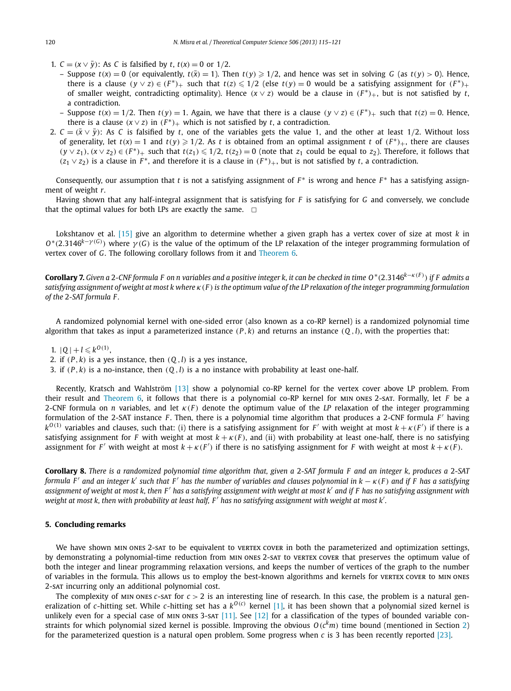- <span id="page-5-0"></span>1. *C* =  $(x \vee \bar{y})$ : As *C* is falsified by *t*, *t*(*x*) = 0 or 1/2.
	- Suppose  $t(x) = 0$  (or equivalently,  $t(\bar{x}) = 1$ ). Then  $t(y) \ge 1/2$ , and hence was set in solving G (as  $t(y) > 0$ ). Hence, there is a clause  $(y \vee z) \in (F^*)_+$  such that  $t(z) \leq 1/2$  (else  $t(y) = 0$  would be a satisfying assignment for  $(F^*)_+$ of smaller weight, contradicting optimality). Hence *(x* ∨ *z)* would be a clause in *(F* <sup>∗</sup>*)*+, but is not satisfied by *t*, a contradiction.
	- Suppose  $t(x) = 1/2$ . Then  $t(y) = 1$ . Again, we have that there is a clause  $(y \lor z) \in (F^*)_+$  such that  $t(z) = 0$ . Hence, there is a clause  $(x \vee z)$  in  $(F^*)$ <sub>+</sub> which is not satisfied by *t*, a contradiction.
- 2.  $C = (\bar{x} \vee \bar{y})$ : As C is falsified by *t*, one of the variables gets the value 1, and the other at least 1/2. Without loss of generality, let  $t(x) = 1$  and  $t(y) \geq 1/2$ . As *t* is obtained from an optimal assignment *t* of  $(F^*)_+$ , there are clauses  $(y \vee z_1)$ ,  $(x \vee z_2) \in (F^*)_+$  such that  $t(z_1) \leq 1/2$ ,  $t(z_2) = 0$  (note that  $z_1$  could be equal to  $z_2$ ). Therefore, it follows that  $(z_1 \vee z_2)$  is a clause in *F*<sup>\*</sup>, and therefore it is a clause in  $(F^*)_+$ , but is not satisfied by *t*, a contradiction.

Consequently, our assumption that *t* is not a satisfying assignment of  $F^*$  is wrong and hence  $F^*$  has a satisfying assignment of weight *r*.

Having shown that any half-integral assignment that is satisfying for *F* is satisfying for *G* and conversely, we conclude that the optimal values for both LPs are exactly the same.  $\Box$ 

Lokshtanov et al. [\[15\]](#page-6-0) give an algorithm to determine whether a given graph has a vertex cover of size at most *k* in *O*∗*(*2*.*3146*k*−*<sup>γ</sup> (G) )* where *γ (G)* is the value of the optimum of the LP relaxation of the integer programming formulation of vertex cover of *G*. The following corollary follows from it and [Theorem 6.](#page-4-0)

**Corollary 7.** *Given a* 2*-CNF formula F on n variables and a positive integer k, it can be checked in time O*∗*(*2*.*3146*k*−*κ(<sup>F</sup> ) ) if F admits a satisfying assignment of weight at most k where κ(F ) is the optimum value of the LP relaxation of the integer programming formulation of the* 2*-SAT formula F .*

A randomized polynomial kernel with one-sided error (also known as a co-RP kernel) is a randomized polynomial time algorithm that takes as input a parameterized instance  $(P, k)$  and returns an instance  $(Q, l)$ , with the properties that:

1.  $|Q| + l \leq k^{O(1)}$ ,

- 2. if  $(P, k)$  is a yes instance, then  $(Q, l)$  is a yes instance,
- 3. if  $(P, k)$  is a no-instance, then  $(Q, l)$  is a no instance with probability at least one-half.

Recently, Kratsch and Wahlström [\[13\]](#page-6-0) show a polynomial co-RP kernel for the vertex cover above LP problem. From their result and [Theorem 6,](#page-4-0) it follows that there is a polynomial co-RP kernel for min ones 2-sat. Formally, let *F* be a 2-CNF formula on *n* variables, and let *κ(F )* denote the optimum value of the *LP* relaxation of the integer programming formulation of the 2-SAT instance *F* . Then, there is a polynomial time algorithm that produces a 2-CNF formula *F* having  $k^{O(1)}$  variables and clauses, such that: (i) there is a satisfying assignment for *F'* with weight at most  $k + \kappa(F')$  if there is a satisfying assignment for *F* with weight at most  $k + \kappa(F)$ , and (ii) with probability at least one-half, there is no satisfying assignment for *F'* with weight at most  $k + \kappa(F')$  if there is no satisfying assignment for *F* with weight at most  $k + \kappa(F)$ .

**Corollary 8.** *There is a randomized polynomial time algorithm that, given a* 2*-SAT formula F and an integer k, produces a* 2*-SAT formula F and an integer k such that F has the number of variables and clauses polynomial in k* − *κ(F ) and if F has a satisfying assignment of weight at most k, then F has a satisfying assignment with weight at most k and if F has no satisfying assignment with weight at most k, then with probability at least half, F has no satisfying assignment with weight at most k .*

#### **5. Concluding remarks**

We have shown MIN ONES 2-SAT to be equivalent to VERTEX COVER in both the parameterized and optimization settings, by demonstrating a polynomial-time reduction from MIN ONES 2-SAT to VERTEX COVER that preserves the optimum value of both the integer and linear programming relaxation versions, and keeps the number of vertices of the graph to the number of variables in the formula. This allows us to employ the best-known algorithms and kernels for vertex cover to min ones 2-sat incurring only an additional polynomial cost.

The complexity of MIN ONES  $c$ -sat for  $c > 2$  is an interesting line of research. In this case, the problem is a natural generalization of *c*-hitting set. While *c*-hitting set has a *kO(c)* kernel [\[1\],](#page-6-0) it has been shown that a polynomial sized kernel is unlikely even for a special case of MIN ONES 3-SAT  $[11]$ . See  $[12]$  for a classification of the types of bounded variable constraints for which polynomial sized kernel is possible. Improving the obvious  $O(c<sup>k</sup>m)$  time bound (mentioned in Section [2\)](#page-2-0) for the parameterized question is a natural open problem. Some progress when *c* is 3 has been recently reported [\[23\].](#page-6-0)